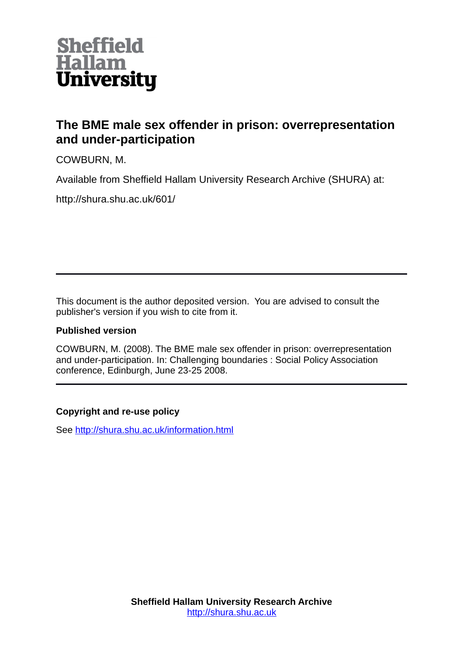

# **The BME male sex offender in prison: overrepresentation and under-participation**

COWBURN, M.

Available from Sheffield Hallam University Research Archive (SHURA) at:

http://shura.shu.ac.uk/601/

This document is the author deposited version. You are advised to consult the publisher's version if you wish to cite from it.

## **Published version**

COWBURN, M. (2008). The BME male sex offender in prison: overrepresentation and under-participation. In: Challenging boundaries : Social Policy Association conference, Edinburgh, June 23-25 2008.

# **Copyright and re-use policy**

See<http://shura.shu.ac.uk/information.html>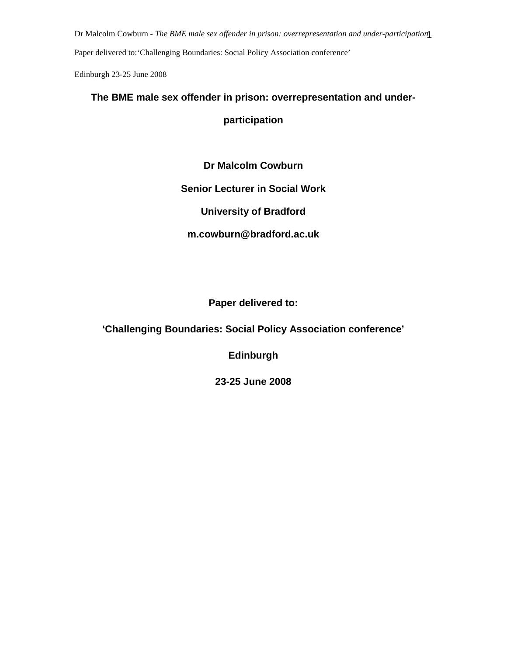Dr Malcolm Cowburn - *The BME male sex offender in prison: overrepresentation and under-participation.* 1

Paper delivered to:'Challenging Boundaries: Social Policy Association conference'

Edinburgh 23-25 June 2008

# **The BME male sex offender in prison: overrepresentation and under-**

**participation**

**Dr Malcolm Cowburn** 

## **Senior Lecturer in Social Work**

**University of Bradford** 

**m.cowburn@bradford.ac.uk** 

# **Paper delivered to:**

# **'Challenging Boundaries: Social Policy Association conference'**

**Edinburgh** 

**23-25 June 2008**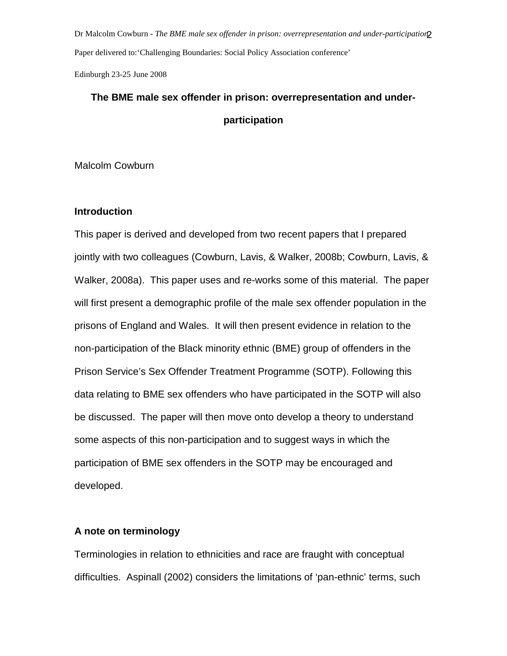Dr Malcolm Cowburn - *The BME male sex offender in prison: overrepresentation and under-participation* Paper delivered to:'Challenging Boundaries: Social Policy Association conference'

Edinburgh 23-25 June 2008

# **The BME male sex offender in prison: overrepresentation and underparticipation**

Malcolm Cowburn

## **Introduction**

This paper is derived and developed from two recent papers that I prepared jointly with two colleagues (Cowburn, Lavis, & Walker, 2008b; Cowburn, Lavis, & Walker, 2008a). This paper uses and re-works some of this material. The paper will first present a demographic profile of the male sex offender population in the prisons of England and Wales. It will then present evidence in relation to the non-participation of the Black minority ethnic (BME) group of offenders in the Prison Service's Sex Offender Treatment Programme (SOTP). Following this data relating to BME sex offenders who have participated in the SOTP will also be discussed. The paper will then move onto develop a theory to understand some aspects of this non-participation and to suggest ways in which the participation of BME sex offenders in the SOTP may be encouraged and developed.

## **A note on terminology**

Terminologies in relation to ethnicities and race are fraught with conceptual difficulties. Aspinall (2002) considers the limitations of 'pan-ethnic' terms, such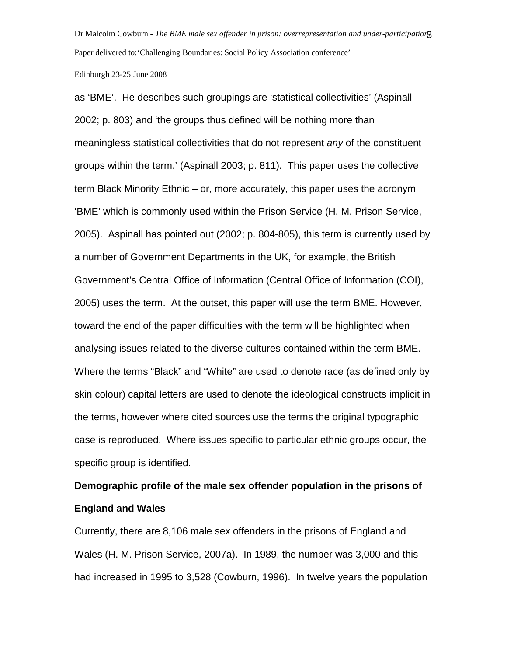Dr Malcolm Cowburn - *The BME male sex offender in prison: overrepresentation and under-participation.* 3 Paper delivered to:'Challenging Boundaries: Social Policy Association conference'

#### Edinburgh 23-25 June 2008

as 'BME'. He describes such groupings are 'statistical collectivities' (Aspinall 2002; p. 803) and 'the groups thus defined will be nothing more than meaningless statistical collectivities that do not represent any of the constituent groups within the term.' (Aspinall 2003; p. 811). This paper uses the collective term Black Minority Ethnic – or, more accurately, this paper uses the acronym 'BME' which is commonly used within the Prison Service (H. M. Prison Service, 2005). Aspinall has pointed out (2002; p. 804-805), this term is currently used by a number of Government Departments in the UK, for example, the British Government's Central Office of Information (Central Office of Information (COI), 2005) uses the term. At the outset, this paper will use the term BME. However, toward the end of the paper difficulties with the term will be highlighted when analysing issues related to the diverse cultures contained within the term BME. Where the terms "Black" and "White" are used to denote race (as defined only by skin colour) capital letters are used to denote the ideological constructs implicit in the terms, however where cited sources use the terms the original typographic case is reproduced. Where issues specific to particular ethnic groups occur, the specific group is identified.

# **Demographic profile of the male sex offender population in the prisons of England and Wales**

Currently, there are 8,106 male sex offenders in the prisons of England and Wales (H. M. Prison Service, 2007a). In 1989, the number was 3,000 and this had increased in 1995 to 3,528 (Cowburn, 1996). In twelve years the population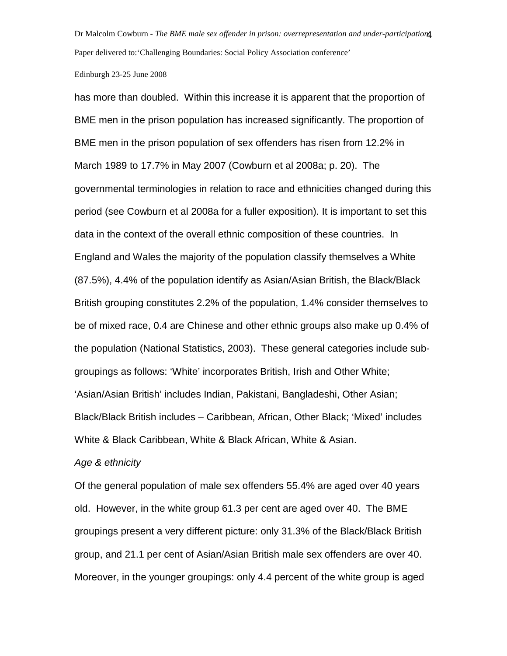Dr Malcolm Cowburn - *The BME male sex offender in prison: overrepresentation and under-participation.* 4 Paper delivered to:'Challenging Boundaries: Social Policy Association conference'

### Edinburgh 23-25 June 2008

has more than doubled. Within this increase it is apparent that the proportion of BME men in the prison population has increased significantly. The proportion of BME men in the prison population of sex offenders has risen from 12.2% in March 1989 to 17.7% in May 2007 (Cowburn et al 2008a; p. 20). The governmental terminologies in relation to race and ethnicities changed during this period (see Cowburn et al 2008a for a fuller exposition). It is important to set this data in the context of the overall ethnic composition of these countries. In England and Wales the majority of the population classify themselves a White (87.5%), 4.4% of the population identify as Asian/Asian British, the Black/Black British grouping constitutes 2.2% of the population, 1.4% consider themselves to be of mixed race, 0.4 are Chinese and other ethnic groups also make up 0.4% of the population (National Statistics, 2003). These general categories include subgroupings as follows: 'White' incorporates British, Irish and Other White; 'Asian/Asian British' includes Indian, Pakistani, Bangladeshi, Other Asian; Black/Black British includes – Caribbean, African, Other Black; 'Mixed' includes White & Black Caribbean, White & Black African, White & Asian.

### Age & ethnicity

Of the general population of male sex offenders 55.4% are aged over 40 years old. However, in the white group 61.3 per cent are aged over 40. The BME groupings present a very different picture: only 31.3% of the Black/Black British group, and 21.1 per cent of Asian/Asian British male sex offenders are over 40. Moreover, in the younger groupings: only 4.4 percent of the white group is aged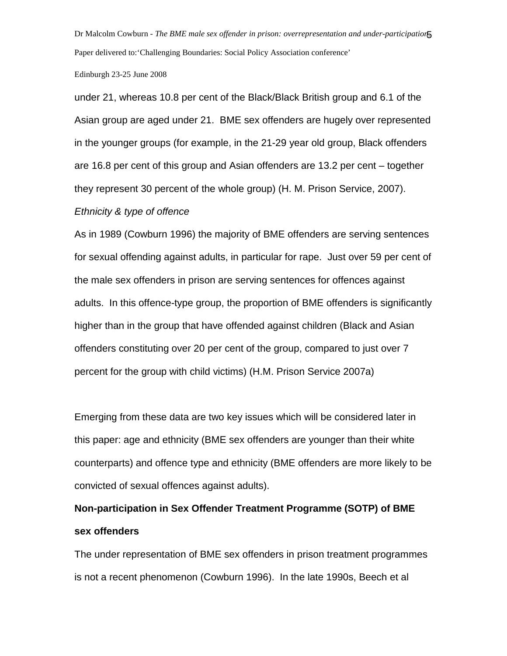Dr Malcolm Cowburn - *The BME male sex offender in prison: overrepresentation and under-participation.* 5 Paper delivered to:'Challenging Boundaries: Social Policy Association conference'

### Edinburgh 23-25 June 2008

under 21, whereas 10.8 per cent of the Black/Black British group and 6.1 of the Asian group are aged under 21. BME sex offenders are hugely over represented in the younger groups (for example, in the 21-29 year old group, Black offenders are 16.8 per cent of this group and Asian offenders are 13.2 per cent – together they represent 30 percent of the whole group) (H. M. Prison Service, 2007).

### Ethnicity & type of offence

As in 1989 (Cowburn 1996) the majority of BME offenders are serving sentences for sexual offending against adults, in particular for rape. Just over 59 per cent of the male sex offenders in prison are serving sentences for offences against adults. In this offence-type group, the proportion of BME offenders is significantly higher than in the group that have offended against children (Black and Asian offenders constituting over 20 per cent of the group, compared to just over 7 percent for the group with child victims) (H.M. Prison Service 2007a)

Emerging from these data are two key issues which will be considered later in this paper: age and ethnicity (BME sex offenders are younger than their white counterparts) and offence type and ethnicity (BME offenders are more likely to be convicted of sexual offences against adults).

# **Non-participation in Sex Offender Treatment Programme (SOTP) of BME sex offenders**

The under representation of BME sex offenders in prison treatment programmes is not a recent phenomenon (Cowburn 1996). In the late 1990s, Beech et al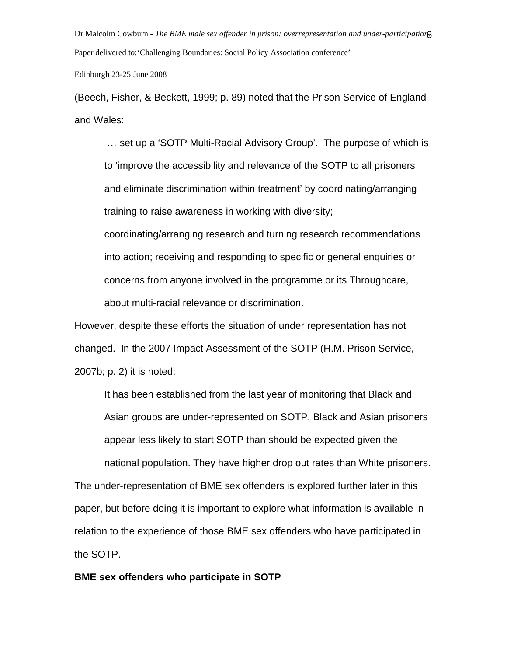Dr Malcolm Cowburn - *The BME male sex offender in prison: overrepresentation and under-participation.* 6 Paper delivered to:'Challenging Boundaries: Social Policy Association conference'

Edinburgh 23-25 June 2008

(Beech, Fisher, & Beckett, 1999; p. 89) noted that the Prison Service of England and Wales:

 … set up a 'SOTP Multi-Racial Advisory Group'. The purpose of which is to 'improve the accessibility and relevance of the SOTP to all prisoners and eliminate discrimination within treatment' by coordinating/arranging training to raise awareness in working with diversity;

coordinating/arranging research and turning research recommendations into action; receiving and responding to specific or general enquiries or concerns from anyone involved in the programme or its Throughcare, about multi-racial relevance or discrimination.

However, despite these efforts the situation of under representation has not changed. In the 2007 Impact Assessment of the SOTP (H.M. Prison Service, 2007b; p. 2) it is noted:

It has been established from the last year of monitoring that Black and Asian groups are under-represented on SOTP. Black and Asian prisoners appear less likely to start SOTP than should be expected given the national population. They have higher drop out rates than White prisoners.

The under-representation of BME sex offenders is explored further later in this paper, but before doing it is important to explore what information is available in relation to the experience of those BME sex offenders who have participated in the SOTP.

## **BME sex offenders who participate in SOTP**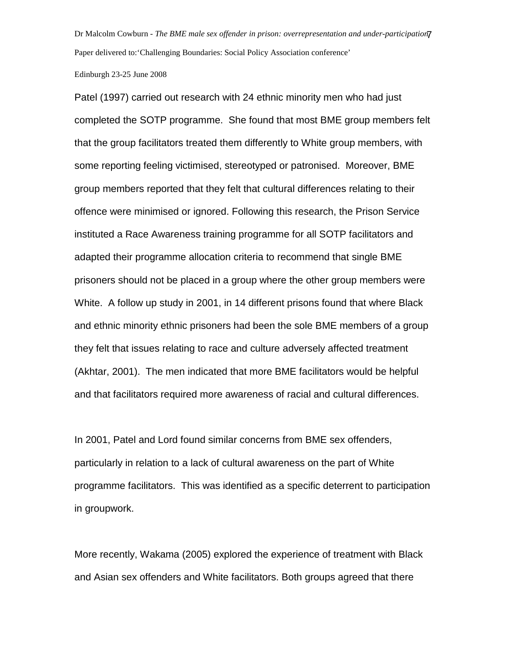Dr Malcolm Cowburn - *The BME male sex offender in prison: overrepresentation and under-participation.* 7 Paper delivered to:'Challenging Boundaries: Social Policy Association conference'

#### Edinburgh 23-25 June 2008

Patel (1997) carried out research with 24 ethnic minority men who had just completed the SOTP programme. She found that most BME group members felt that the group facilitators treated them differently to White group members, with some reporting feeling victimised, stereotyped or patronised. Moreover, BME group members reported that they felt that cultural differences relating to their offence were minimised or ignored. Following this research, the Prison Service instituted a Race Awareness training programme for all SOTP facilitators and adapted their programme allocation criteria to recommend that single BME prisoners should not be placed in a group where the other group members were White. A follow up study in 2001, in 14 different prisons found that where Black and ethnic minority ethnic prisoners had been the sole BME members of a group they felt that issues relating to race and culture adversely affected treatment (Akhtar, 2001). The men indicated that more BME facilitators would be helpful and that facilitators required more awareness of racial and cultural differences.

In 2001, Patel and Lord found similar concerns from BME sex offenders, particularly in relation to a lack of cultural awareness on the part of White programme facilitators. This was identified as a specific deterrent to participation in groupwork.

More recently, Wakama (2005) explored the experience of treatment with Black and Asian sex offenders and White facilitators. Both groups agreed that there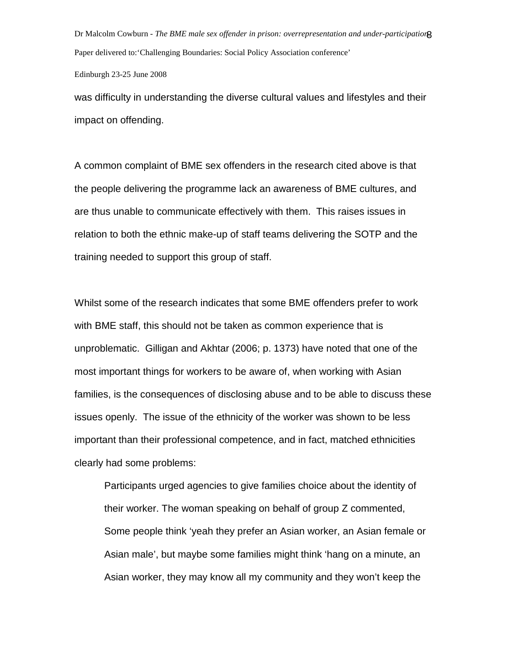Dr Malcolm Cowburn - *The BME male sex offender in prison: overrepresentation and under-participation.* 8 Paper delivered to:'Challenging Boundaries: Social Policy Association conference'

Edinburgh 23-25 June 2008

was difficulty in understanding the diverse cultural values and lifestyles and their impact on offending.

A common complaint of BME sex offenders in the research cited above is that the people delivering the programme lack an awareness of BME cultures, and are thus unable to communicate effectively with them. This raises issues in relation to both the ethnic make-up of staff teams delivering the SOTP and the training needed to support this group of staff.

Whilst some of the research indicates that some BME offenders prefer to work with BME staff, this should not be taken as common experience that is unproblematic. Gilligan and Akhtar (2006; p. 1373) have noted that one of the most important things for workers to be aware of, when working with Asian families, is the consequences of disclosing abuse and to be able to discuss these issues openly. The issue of the ethnicity of the worker was shown to be less important than their professional competence, and in fact, matched ethnicities clearly had some problems:

Participants urged agencies to give families choice about the identity of their worker. The woman speaking on behalf of group Z commented, Some people think 'yeah they prefer an Asian worker, an Asian female or Asian male', but maybe some families might think 'hang on a minute, an Asian worker, they may know all my community and they won't keep the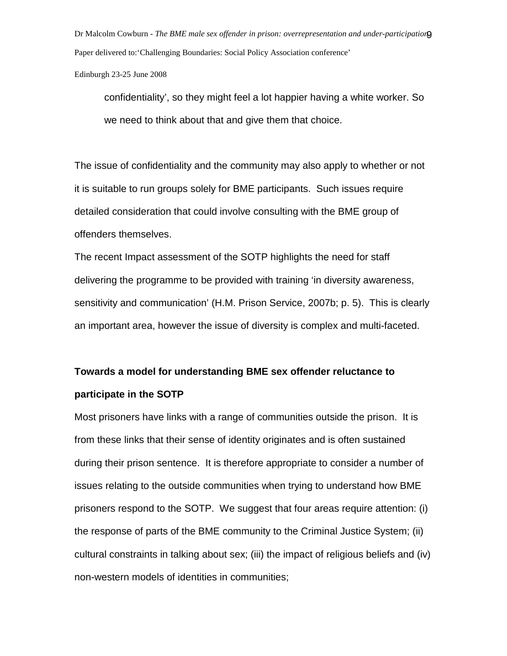Dr Malcolm Cowburn - *The BME male sex offender in prison: overrepresentation and under-participation.* 9 Paper delivered to:'Challenging Boundaries: Social Policy Association conference'

Edinburgh 23-25 June 2008

confidentiality', so they might feel a lot happier having a white worker. So we need to think about that and give them that choice.

The issue of confidentiality and the community may also apply to whether or not it is suitable to run groups solely for BME participants. Such issues require detailed consideration that could involve consulting with the BME group of offenders themselves.

The recent Impact assessment of the SOTP highlights the need for staff delivering the programme to be provided with training 'in diversity awareness, sensitivity and communication' (H.M. Prison Service, 2007b; p. 5). This is clearly an important area, however the issue of diversity is complex and multi-faceted.

# **Towards a model for understanding BME sex offender reluctance to participate in the SOTP**

Most prisoners have links with a range of communities outside the prison. It is from these links that their sense of identity originates and is often sustained during their prison sentence. It is therefore appropriate to consider a number of issues relating to the outside communities when trying to understand how BME prisoners respond to the SOTP. We suggest that four areas require attention: (i) the response of parts of the BME community to the Criminal Justice System; (ii) cultural constraints in talking about sex; (iii) the impact of religious beliefs and (iv) non-western models of identities in communities;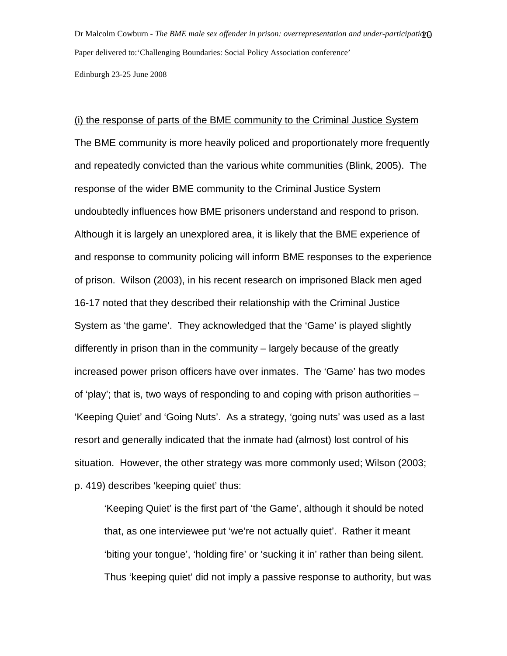Dr Malcolm Cowburn - *The BME male sex offender in prison: overrepresentation and under-participation.* 10 Paper delivered to:'Challenging Boundaries: Social Policy Association conference'

Edinburgh 23-25 June 2008

## (i) the response of parts of the BME community to the Criminal Justice System

The BME community is more heavily policed and proportionately more frequently and repeatedly convicted than the various white communities (Blink, 2005). The response of the wider BME community to the Criminal Justice System undoubtedly influences how BME prisoners understand and respond to prison. Although it is largely an unexplored area, it is likely that the BME experience of and response to community policing will inform BME responses to the experience of prison. Wilson (2003), in his recent research on imprisoned Black men aged 16-17 noted that they described their relationship with the Criminal Justice System as 'the game'. They acknowledged that the 'Game' is played slightly differently in prison than in the community – largely because of the greatly increased power prison officers have over inmates. The 'Game' has two modes of 'play'; that is, two ways of responding to and coping with prison authorities – 'Keeping Quiet' and 'Going Nuts'. As a strategy, 'going nuts' was used as a last resort and generally indicated that the inmate had (almost) lost control of his situation. However, the other strategy was more commonly used; Wilson (2003; p. 419) describes 'keeping quiet' thus:

'Keeping Quiet' is the first part of 'the Game', although it should be noted that, as one interviewee put 'we're not actually quiet'. Rather it meant 'biting your tongue', 'holding fire' or 'sucking it in' rather than being silent. Thus 'keeping quiet' did not imply a passive response to authority, but was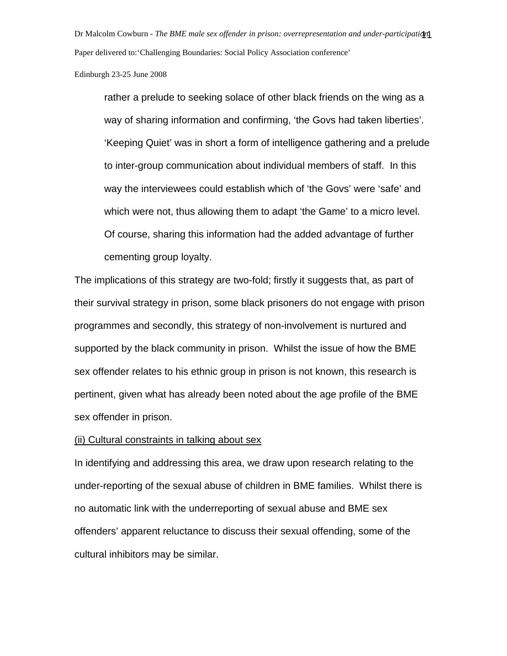Dr Malcolm Cowburn - *The BME male sex offender in prison: overrepresentation and under-participation.* 11 Paper delivered to:'Challenging Boundaries: Social Policy Association conference'

Edinburgh 23-25 June 2008

rather a prelude to seeking solace of other black friends on the wing as a way of sharing information and confirming, 'the Govs had taken liberties'. 'Keeping Quiet' was in short a form of intelligence gathering and a prelude to inter-group communication about individual members of staff. In this way the interviewees could establish which of 'the Govs' were 'safe' and which were not, thus allowing them to adapt 'the Game' to a micro level. Of course, sharing this information had the added advantage of further cementing group loyalty.

The implications of this strategy are two-fold; firstly it suggests that, as part of their survival strategy in prison, some black prisoners do not engage with prison programmes and secondly, this strategy of non-involvement is nurtured and supported by the black community in prison. Whilst the issue of how the BME sex offender relates to his ethnic group in prison is not known, this research is pertinent, given what has already been noted about the age profile of the BME sex offender in prison.

## (ii) Cultural constraints in talking about sex

In identifying and addressing this area, we draw upon research relating to the under-reporting of the sexual abuse of children in BME families. Whilst there is no automatic link with the underreporting of sexual abuse and BME sex offenders' apparent reluctance to discuss their sexual offending, some of the cultural inhibitors may be similar.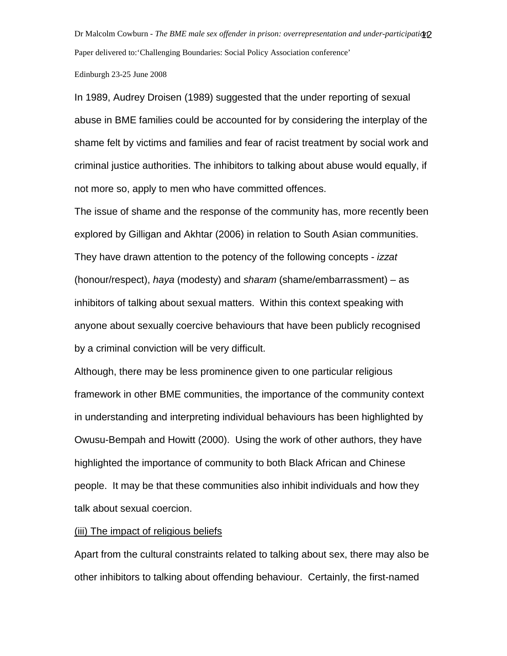Dr Malcolm Cowburn - *The BME male sex offender in prison: overrepresentation and under-participation.* 12 Paper delivered to:'Challenging Boundaries: Social Policy Association conference'

Edinburgh 23-25 June 2008

In 1989, Audrey Droisen (1989) suggested that the under reporting of sexual abuse in BME families could be accounted for by considering the interplay of the shame felt by victims and families and fear of racist treatment by social work and criminal justice authorities. The inhibitors to talking about abuse would equally, if not more so, apply to men who have committed offences.

The issue of shame and the response of the community has, more recently been explored by Gilligan and Akhtar (2006) in relation to South Asian communities. They have drawn attention to the potency of the following concepts - izzat (honour/respect), haya (modesty) and sharam (shame/embarrassment) – as inhibitors of talking about sexual matters. Within this context speaking with anyone about sexually coercive behaviours that have been publicly recognised by a criminal conviction will be very difficult.

Although, there may be less prominence given to one particular religious framework in other BME communities, the importance of the community context in understanding and interpreting individual behaviours has been highlighted by Owusu-Bempah and Howitt (2000). Using the work of other authors, they have highlighted the importance of community to both Black African and Chinese people. It may be that these communities also inhibit individuals and how they talk about sexual coercion.

## (iii) The impact of religious beliefs

Apart from the cultural constraints related to talking about sex, there may also be other inhibitors to talking about offending behaviour. Certainly, the first-named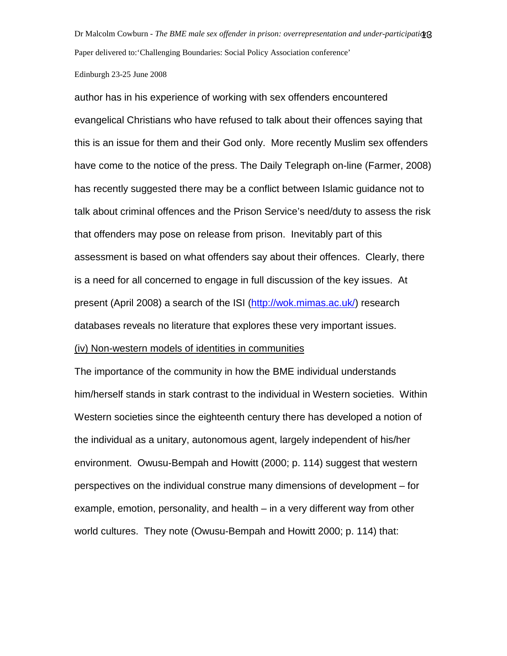Dr Malcolm Cowburn - *The BME male sex offender in prison: overrepresentation and under-participation.* 13 Paper delivered to:'Challenging Boundaries: Social Policy Association conference'

#### Edinburgh 23-25 June 2008

author has in his experience of working with sex offenders encountered evangelical Christians who have refused to talk about their offences saying that this is an issue for them and their God only. More recently Muslim sex offenders have come to the notice of the press. The Daily Telegraph on-line (Farmer, 2008) has recently suggested there may be a conflict between Islamic guidance not to talk about criminal offences and the Prison Service's need/duty to assess the risk that offenders may pose on release from prison. Inevitably part of this assessment is based on what offenders say about their offences. Clearly, there is a need for all concerned to engage in full discussion of the key issues. At present (April 2008) a search of the ISI (http://wok.mimas.ac.uk/) research databases reveals no literature that explores these very important issues. (iv) Non-western models of identities in communities

The importance of the community in how the BME individual understands him/herself stands in stark contrast to the individual in Western societies. Within Western societies since the eighteenth century there has developed a notion of the individual as a unitary, autonomous agent, largely independent of his/her environment. Owusu-Bempah and Howitt (2000; p. 114) suggest that western perspectives on the individual construe many dimensions of development – for example, emotion, personality, and health – in a very different way from other world cultures. They note (Owusu-Bempah and Howitt 2000; p. 114) that: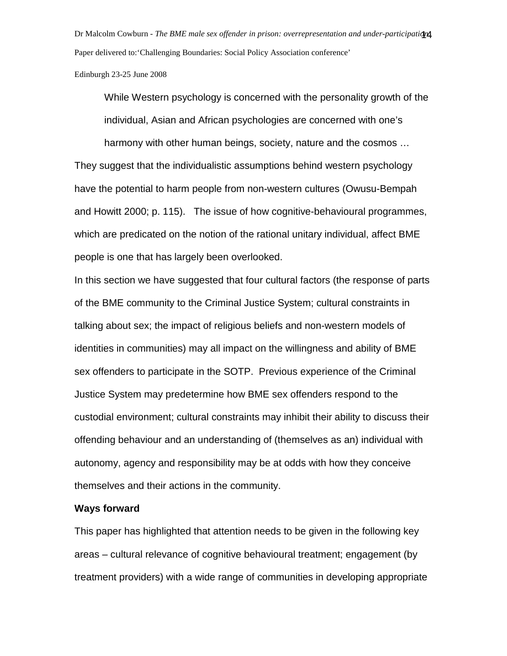Dr Malcolm Cowburn - *The BME male sex offender in prison: overrepresentation and under-participation.* 14 Paper delivered to:'Challenging Boundaries: Social Policy Association conference'

Edinburgh 23-25 June 2008

While Western psychology is concerned with the personality growth of the individual, Asian and African psychologies are concerned with one's harmony with other human beings, society, nature and the cosmos … They suggest that the individualistic assumptions behind western psychology have the potential to harm people from non-western cultures (Owusu-Bempah and Howitt 2000; p. 115). The issue of how cognitive-behavioural programmes, which are predicated on the notion of the rational unitary individual, affect BME people is one that has largely been overlooked.

In this section we have suggested that four cultural factors (the response of parts of the BME community to the Criminal Justice System; cultural constraints in talking about sex; the impact of religious beliefs and non-western models of identities in communities) may all impact on the willingness and ability of BME sex offenders to participate in the SOTP. Previous experience of the Criminal Justice System may predetermine how BME sex offenders respond to the custodial environment; cultural constraints may inhibit their ability to discuss their offending behaviour and an understanding of (themselves as an) individual with autonomy, agency and responsibility may be at odds with how they conceive themselves and their actions in the community.

## **Ways forward**

This paper has highlighted that attention needs to be given in the following key areas – cultural relevance of cognitive behavioural treatment; engagement (by treatment providers) with a wide range of communities in developing appropriate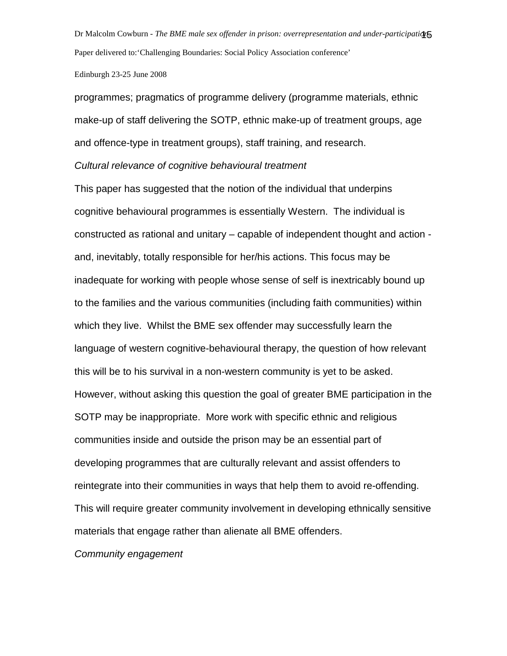Dr Malcolm Cowburn - *The BME male sex offender in prison: overrepresentation and under-participation.* 15 Paper delivered to:'Challenging Boundaries: Social Policy Association conference'

Edinburgh 23-25 June 2008

programmes; pragmatics of programme delivery (programme materials, ethnic make-up of staff delivering the SOTP, ethnic make-up of treatment groups, age and offence-type in treatment groups), staff training, and research.

Cultural relevance of cognitive behavioural treatment

This paper has suggested that the notion of the individual that underpins cognitive behavioural programmes is essentially Western. The individual is constructed as rational and unitary – capable of independent thought and action and, inevitably, totally responsible for her/his actions. This focus may be inadequate for working with people whose sense of self is inextricably bound up to the families and the various communities (including faith communities) within which they live. Whilst the BME sex offender may successfully learn the language of western cognitive-behavioural therapy, the question of how relevant this will be to his survival in a non-western community is yet to be asked. However, without asking this question the goal of greater BME participation in the SOTP may be inappropriate. More work with specific ethnic and religious communities inside and outside the prison may be an essential part of developing programmes that are culturally relevant and assist offenders to reintegrate into their communities in ways that help them to avoid re-offending. This will require greater community involvement in developing ethnically sensitive materials that engage rather than alienate all BME offenders.

Community engagement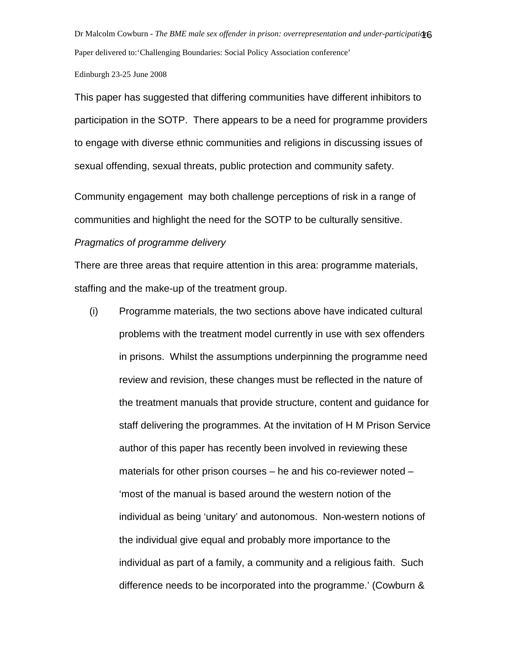Dr Malcolm Cowburn - *The BME male sex offender in prison: overrepresentation and under-participation.* 16 Paper delivered to:'Challenging Boundaries: Social Policy Association conference'

#### Edinburgh 23-25 June 2008

This paper has suggested that differing communities have different inhibitors to participation in the SOTP. There appears to be a need for programme providers to engage with diverse ethnic communities and religions in discussing issues of sexual offending, sexual threats, public protection and community safety.

Community engagement may both challenge perceptions of risk in a range of communities and highlight the need for the SOTP to be culturally sensitive.

### Pragmatics of programme delivery

There are three areas that require attention in this area: programme materials, staffing and the make-up of the treatment group.

(i) Programme materials, the two sections above have indicated cultural problems with the treatment model currently in use with sex offenders in prisons. Whilst the assumptions underpinning the programme need review and revision, these changes must be reflected in the nature of the treatment manuals that provide structure, content and guidance for staff delivering the programmes. At the invitation of H M Prison Service author of this paper has recently been involved in reviewing these materials for other prison courses – he and his co-reviewer noted – 'most of the manual is based around the western notion of the individual as being 'unitary' and autonomous. Non-western notions of the individual give equal and probably more importance to the individual as part of a family, a community and a religious faith. Such difference needs to be incorporated into the programme.' (Cowburn &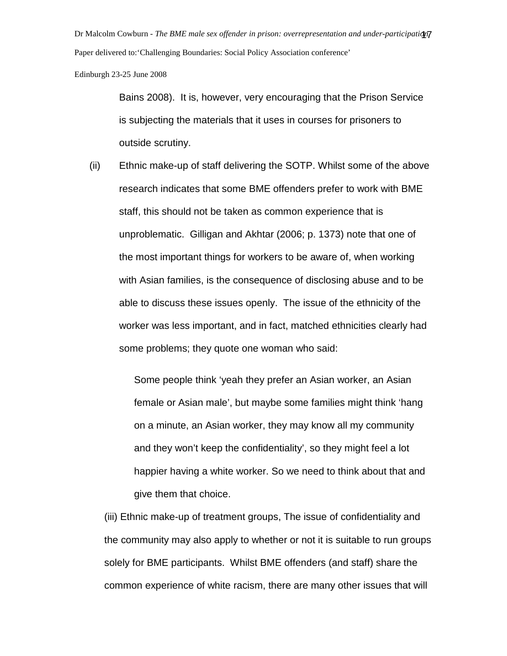Dr Malcolm Cowburn - *The BME male sex offender in prison: overrepresentation and under-participation.* 17 Paper delivered to:'Challenging Boundaries: Social Policy Association conference'

Edinburgh 23-25 June 2008

Bains 2008). It is, however, very encouraging that the Prison Service is subjecting the materials that it uses in courses for prisoners to outside scrutiny.

(ii) Ethnic make-up of staff delivering the SOTP. Whilst some of the above research indicates that some BME offenders prefer to work with BME staff, this should not be taken as common experience that is unproblematic. Gilligan and Akhtar (2006; p. 1373) note that one of the most important things for workers to be aware of, when working with Asian families, is the consequence of disclosing abuse and to be able to discuss these issues openly. The issue of the ethnicity of the worker was less important, and in fact, matched ethnicities clearly had some problems; they quote one woman who said:

> Some people think 'yeah they prefer an Asian worker, an Asian female or Asian male', but maybe some families might think 'hang on a minute, an Asian worker, they may know all my community and they won't keep the confidentiality', so they might feel a lot happier having a white worker. So we need to think about that and give them that choice.

(iii) Ethnic make-up of treatment groups, The issue of confidentiality and the community may also apply to whether or not it is suitable to run groups solely for BME participants. Whilst BME offenders (and staff) share the common experience of white racism, there are many other issues that will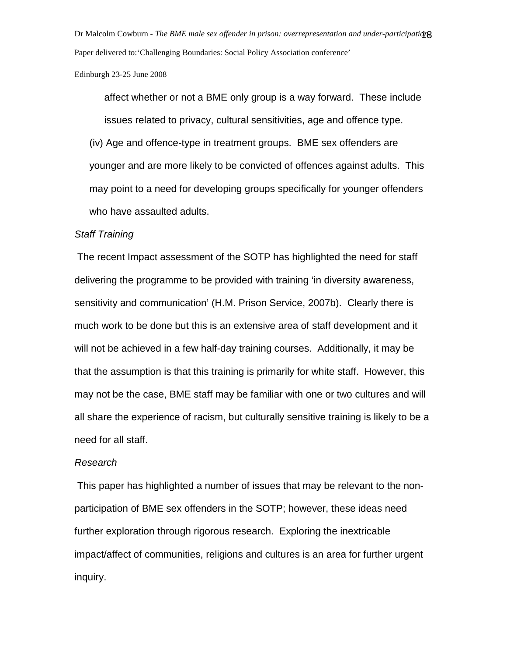Dr Malcolm Cowburn - *The BME male sex offender in prison: overrepresentation and under-participation.* 18 Paper delivered to:'Challenging Boundaries: Social Policy Association conference'

Edinburgh 23-25 June 2008

affect whether or not a BME only group is a way forward. These include issues related to privacy, cultural sensitivities, age and offence type. (iv) Age and offence-type in treatment groups. BME sex offenders are younger and are more likely to be convicted of offences against adults. This may point to a need for developing groups specifically for younger offenders who have assaulted adults.

## Staff Training

 The recent Impact assessment of the SOTP has highlighted the need for staff delivering the programme to be provided with training 'in diversity awareness, sensitivity and communication' (H.M. Prison Service, 2007b). Clearly there is much work to be done but this is an extensive area of staff development and it will not be achieved in a few half-day training courses. Additionally, it may be that the assumption is that this training is primarily for white staff. However, this may not be the case, BME staff may be familiar with one or two cultures and will all share the experience of racism, but culturally sensitive training is likely to be a need for all staff.

## Research

 This paper has highlighted a number of issues that may be relevant to the nonparticipation of BME sex offenders in the SOTP; however, these ideas need further exploration through rigorous research. Exploring the inextricable impact/affect of communities, religions and cultures is an area for further urgent inquiry.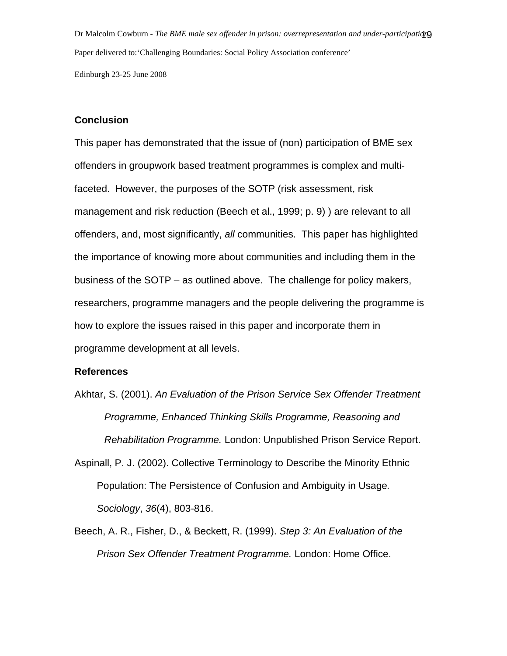Dr Malcolm Cowburn - *The BME male sex offender in prison: overrepresentation and under-participation.* 19 Paper delivered to:'Challenging Boundaries: Social Policy Association conference' Edinburgh 23-25 June 2008

**Conclusion**

This paper has demonstrated that the issue of (non) participation of BME sex offenders in groupwork based treatment programmes is complex and multifaceted. However, the purposes of the SOTP (risk assessment, risk management and risk reduction (Beech et al., 1999; p. 9) ) are relevant to all offenders, and, most significantly, all communities. This paper has highlighted the importance of knowing more about communities and including them in the business of the SOTP – as outlined above. The challenge for policy makers, researchers, programme managers and the people delivering the programme is how to explore the issues raised in this paper and incorporate them in programme development at all levels.

## **References**

- Akhtar, S. (2001). An Evaluation of the Prison Service Sex Offender Treatment Programme, Enhanced Thinking Skills Programme, Reasoning and Rehabilitation Programme. London: Unpublished Prison Service Report.
- Aspinall, P. J. (2002). Collective Terminology to Describe the Minority Ethnic Population: The Persistence of Confusion and Ambiguity in Usage. Sociology, 36(4), 803-816.
- Beech, A. R., Fisher, D., & Beckett, R. (1999). Step 3: An Evaluation of the Prison Sex Offender Treatment Programme. London: Home Office.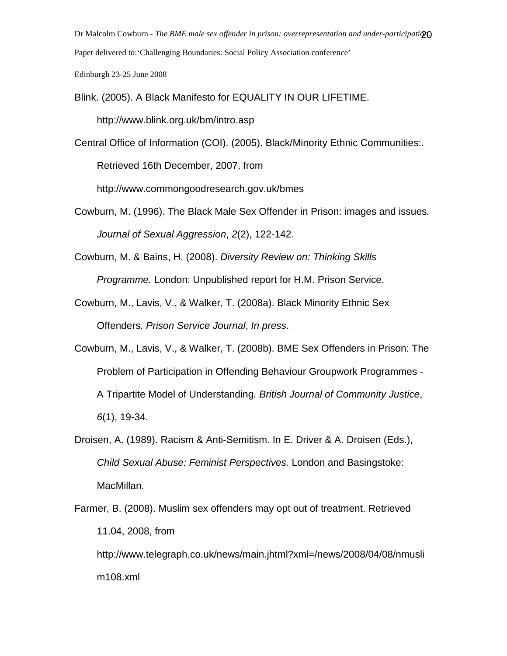Dr Malcolm Cowburn - *The BME male sex offender in prison: overrepresentation and under-participati* 20 Paper delivered to:'Challenging Boundaries: Social Policy Association conference'

Edinburgh 23-25 June 2008

- Blink. (2005). A Black Manifesto for EQUALITY IN OUR LIFETIME. http://www.blink.org.uk/bm/intro.asp
- Central Office of Information (COI). (2005). Black/Minority Ethnic Communities:. Retrieved 16th December, 2007, from

http://www.commongoodresearch.gov.uk/bmes

- Cowburn, M. (1996). The Black Male Sex Offender in Prison: images and issues. Journal of Sexual Aggression, 2(2), 122-142.
- Cowburn, M. & Bains, H. (2008). Diversity Review on: Thinking Skills Programme. London: Unpublished report for H.M. Prison Service.
- Cowburn, M., Lavis, V., & Walker, T. (2008a). Black Minority Ethnic Sex Offenders. Prison Service Journal, In press.
- Cowburn, M., Lavis, V., & Walker, T. (2008b). BME Sex Offenders in Prison: The Problem of Participation in Offending Behaviour Groupwork Programmes - A Tripartite Model of Understanding. British Journal of Community Justice, 6(1), 19-34.
- Droisen, A. (1989). Racism & Anti-Semitism. In E. Driver & A. Droisen (Eds.), Child Sexual Abuse: Feminist Perspectives. London and Basingstoke: MacMillan.
- Farmer, B. (2008). Muslim sex offenders may opt out of treatment. Retrieved 11.04, 2008, from http://www.telegraph.co.uk/news/main.jhtml?xml=/news/2008/04/08/nmusli

m108.xml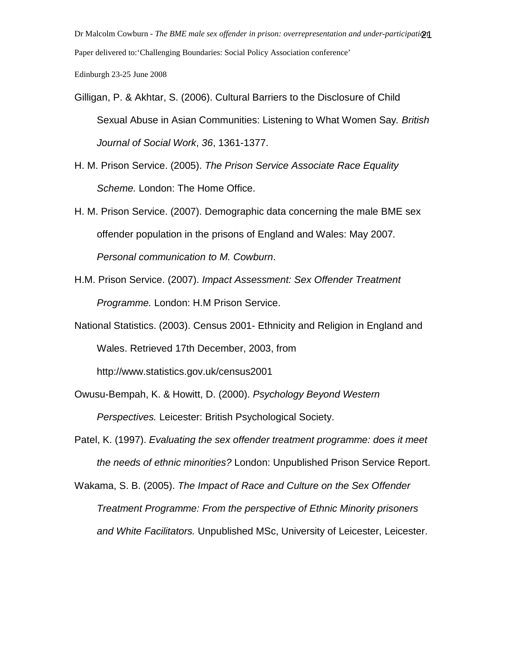Dr Malcolm Cowburn - *The BME male sex offender in prison: overrepresentation and under-participati* Paper delivered to:'Challenging Boundaries: Social Policy Association conference'

Edinburgh 23-25 June 2008

- Gilligan, P. & Akhtar, S. (2006). Cultural Barriers to the Disclosure of Child Sexual Abuse in Asian Communities: Listening to What Women Say. British Journal of Social Work, 36, 1361-1377.
- H. M. Prison Service. (2005). The Prison Service Associate Race Equality Scheme. London: The Home Office.
- H. M. Prison Service. (2007). Demographic data concerning the male BME sex offender population in the prisons of England and Wales: May 2007. Personal communication to M. Cowburn.
- H.M. Prison Service. (2007). Impact Assessment: Sex Offender Treatment Programme. London: H.M Prison Service.

National Statistics. (2003). Census 2001- Ethnicity and Religion in England and Wales. Retrieved 17th December, 2003, from http://www.statistics.gov.uk/census2001

Owusu-Bempah, K. & Howitt, D. (2000). Psychology Beyond Western Perspectives. Leicester: British Psychological Society.

Patel, K. (1997). Evaluating the sex offender treatment programme: does it meet the needs of ethnic minorities? London: Unpublished Prison Service Report.

Wakama, S. B. (2005). The Impact of Race and Culture on the Sex Offender Treatment Programme: From the perspective of Ethnic Minority prisoners and White Facilitators. Unpublished MSc, University of Leicester, Leicester.